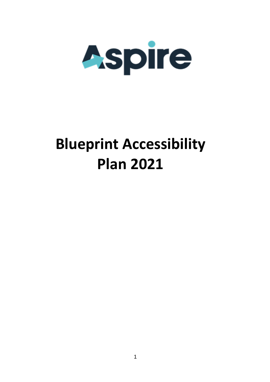

## **Blueprint Accessibility Plan 2021**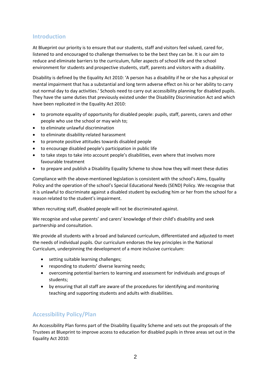## **Introduction**

At Blueprint our priority is to ensure that our students, staff and visitors feel valued, cared for, listened to and encouraged to challenge themselves to be the best they can be. It is our aim to reduce and eliminate barriers to the curriculum, fuller aspects of school life and the school environment for students and prospective students, staff, parents and visitors with a disability.

Disability is defined by the Equality Act 2010: 'A person has a disability if he or she has a physical or mental impairment that has a substantial and long term adverse effect on his or her ability to carry out normal day to day activities.' Schools need to carry out accessibility planning for disabled pupils. They have the same duties that previously existed under the Disability Discrimination Act and which have been replicated in the Equality Act 2010:

- to promote equality of opportunity for disabled people: pupils, staff, parents, carers and other people who use the school or may wish to;
- to eliminate unlawful discrimination
- to eliminate disability-related harassment
- to promote positive attitudes towards disabled people
- to encourage disabled people's participation in public life
- to take steps to take into account people's disabilities, even where that involves more favourable treatment
- to prepare and publish a Disability Equality Scheme to show how they will meet these duties

Compliance with the above-mentioned legislation is consistent with the school's Aims, Equality Policy and the operation of the school's Special Educational Needs (SEND) Policy. We recognise that it is unlawful to discriminate against a disabled student by excluding him or her from the school for a reason related to the student's impairment.

When recruiting staff, disabled people will not be discriminated against.

We recognise and value parents' and carers' knowledge of their child's disability and seek partnership and consultation.

We provide all students with a broad and balanced curriculum, differentiated and adjusted to meet the needs of individual pupils. Our curriculum endorses the key principles in the National Curriculum, underpinning the development of a more inclusive curriculum:

- setting suitable learning challenges;
- responding to students' diverse learning needs;
- overcoming potential barriers to learning and assessment for individuals and groups of students;
- by ensuring that all staff are aware of the procedures for identifying and monitoring teaching and supporting students and adults with disabilities.

## **Accessibility Policy/Plan**

An Accessibility Plan forms part of the Disability Equality Scheme and sets out the proposals of the Trustees at Blueprint to improve access to education for disabled pupils in three areas set out in the Equality Act 2010: